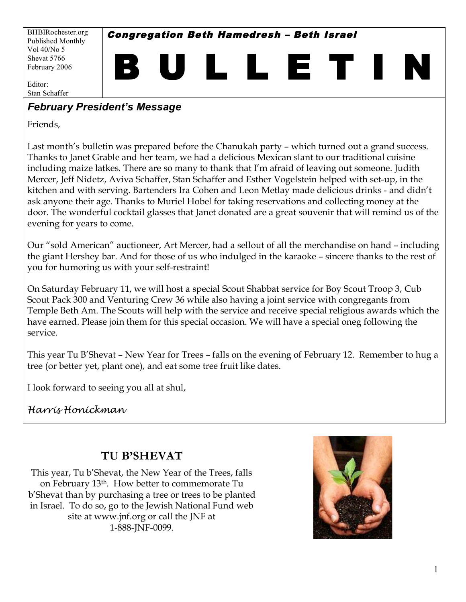Congregation Beth Hamedresh – Beth Israel

B U L L E T I N

BHBIRochester.org Published Monthly Vol 40/No 5 Shevat 5766 February 2006

Editor: Stan Schaffer

## *February President's Message*

Friends,

Last month's bulletin was prepared before the Chanukah party – which turned out a grand success. Thanks to Janet Grable and her team, we had a delicious Mexican slant to our traditional cuisine including maize latkes. There are so many to thank that I'm afraid of leaving out someone. Judith Mercer, Jeff Nidetz, Aviva Schaffer, Stan Schaffer and Esther Vogelstein helped with set-up, in the kitchen and with serving. Bartenders Ira Cohen and Leon Metlay made delicious drinks - and didn't ask anyone their age. Thanks to Muriel Hobel for taking reservations and collecting money at the door. The wonderful cocktail glasses that Janet donated are a great souvenir that will remind us of the evening for years to come.

Our "sold American" auctioneer, Art Mercer, had a sellout of all the merchandise on hand – including the giant Hershey bar. And for those of us who indulged in the karaoke – sincere thanks to the rest of you for humoring us with your self-restraint!

On Saturday February 11, we will host a special Scout Shabbat service for Boy Scout Troop 3, Cub Scout Pack 300 and Venturing Crew 36 while also having a joint service with congregants from Temple Beth Am. The Scouts will help with the service and receive special religious awards which the have earned. Please join them for this special occasion. We will have a special oneg following the service.

This year Tu B'Shevat – New Year for Trees – falls on the evening of February 12. Remember to hug a tree (or better yet, plant one), and eat some tree fruit like dates.

I look forward to seeing you all at shul,

*Harris Honickman* 

# **TU B'SHEVAT**

This year, Tu b'Shevat, the New Year of the Trees, falls on February 13<sup>th</sup>. How better to commemorate Tu b'Shevat than by purchasing a tree or trees to be planted in Israel. To do so, go to the Jewish National Fund web site at www.jnf.org or call the JNF at 1-888-JNF-0099.

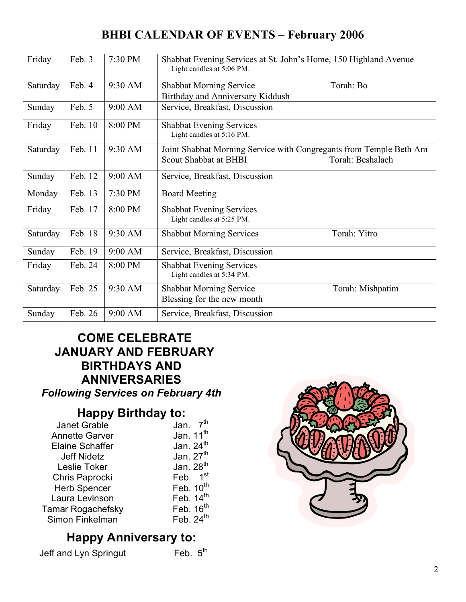## **BHBI CALENDAR OF EVENTS – February 2006**

| Friday   | Feb. 3  | 7:30 PM | Shabbat Evening Services at St. John's Home, 150 Highland Avenue<br>Light candles at 5:06 PM.                   |  |  |  |
|----------|---------|---------|-----------------------------------------------------------------------------------------------------------------|--|--|--|
| Saturday | Feb. 4  | 9:30 AM | <b>Shabbat Morning Service</b><br>Torah: Bo<br>Birthday and Anniversary Kiddush                                 |  |  |  |
| Sunday   | Feb. 5  | 9:00 AM | Service, Breakfast, Discussion                                                                                  |  |  |  |
| Friday   | Feb. 10 | 8:00 PM | <b>Shabbat Evening Services</b><br>Light candles at 5:16 PM.                                                    |  |  |  |
| Saturday | Feb. 11 | 9:30 AM | Joint Shabbat Morning Service with Congregants from Temple Beth Am<br>Scout Shabbat at BHBI<br>Torah: Beshalach |  |  |  |
| Sunday   | Feb. 12 | 9:00 AM | Service, Breakfast, Discussion                                                                                  |  |  |  |
| Monday   | Feb. 13 | 7:30 PM | <b>Board Meeting</b>                                                                                            |  |  |  |
| Friday   | Feb. 17 | 8:00 PM | <b>Shabbat Evening Services</b><br>Light candles at 5:25 PM.                                                    |  |  |  |
| Saturday | Feb. 18 | 9:30 AM | <b>Shabbat Morning Services</b><br>Torah: Yitro                                                                 |  |  |  |
| Sunday   | Feb. 19 | 9:00 AM | Service, Breakfast, Discussion                                                                                  |  |  |  |
| Friday   | Feb. 24 | 8:00 PM | <b>Shabbat Evening Services</b><br>Light candles at 5:34 PM.                                                    |  |  |  |
| Saturday | Feb. 25 | 9:30 AM | <b>Shabbat Morning Service</b><br>Torah: Mishpatim<br>Blessing for the new month                                |  |  |  |
| Sunday   | Feb. 26 | 9:00 AM | Service, Breakfast, Discussion                                                                                  |  |  |  |

# **COME CELEBRATE JANUARY AND FEBRUARY BIRTHDAYS AND ANNIVERSARIES**

*Following Services on February 4th*

## **Happy Birthday to:**

| <b>Janet Grable</b>    | 7 <sup>th</sup><br>Jan. |
|------------------------|-------------------------|
| <b>Annette Garver</b>  | Jan. 11 <sup>th</sup>   |
| <b>Elaine Schaffer</b> | Jan. $24th$             |
| <b>Jeff Nidetz</b>     | Jan. 27 <sup>th</sup>   |
| Leslie Toker           | Jan. 28 <sup>th</sup>   |
| Chris Paprocki         | Feb. 1st                |
| <b>Herb Spencer</b>    | Feb. $10^{th}$          |
| Laura Levinson         | Feb. $14th$             |
| Tamar Rogachefsky      | Feb. $16th$             |
| Simon Finkelman        | Feb. $24th$             |

# **Happy Anniversary to:**

Jeff and Lyn Springut Feb. 5<sup>th</sup>

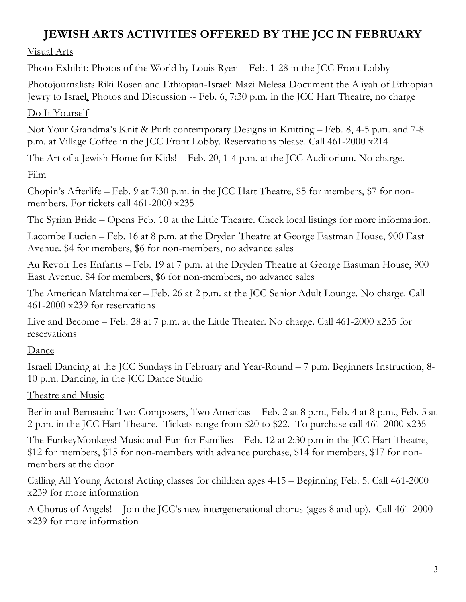# **JEWISH ARTS ACTIVITIES OFFERED BY THE JCC IN FEBRUARY**

#### Visual Arts

Photo Exhibit: Photos of the World by Louis Ryen – Feb. 1-28 in the JCC Front Lobby

Photojournalists Riki Rosen and Ethiopian-Israeli Mazi Melesa Document the Aliyah of Ethiopian Jewry to Israel, Photos and Discussion -- Feb. 6, 7:30 p.m. in the JCC Hart Theatre, no charge

#### Do It Yourself

Not Your Grandma's Knit & Purl: contemporary Designs in Knitting – Feb. 8, 4-5 p.m. and 7-8 p.m. at Village Coffee in the JCC Front Lobby. Reservations please. Call 461-2000 x214

The Art of a Jewish Home for Kids! – Feb. 20, 1-4 p.m. at the JCC Auditorium. No charge.

#### Film

Chopin's Afterlife – Feb. 9 at 7:30 p.m. in the JCC Hart Theatre, \$5 for members, \$7 for nonmembers. For tickets call 461-2000 x235

The Syrian Bride – Opens Feb. 10 at the Little Theatre. Check local listings for more information.

Lacombe Lucien – Feb. 16 at 8 p.m. at the Dryden Theatre at George Eastman House, 900 East Avenue. \$4 for members, \$6 for non-members, no advance sales

Au Revoir Les Enfants – Feb. 19 at 7 p.m. at the Dryden Theatre at George Eastman House, 900 East Avenue. \$4 for members, \$6 for non-members, no advance sales

The American Matchmaker – Feb. 26 at 2 p.m. at the JCC Senior Adult Lounge. No charge. Call 461-2000 x239 for reservations

Live and Become – Feb. 28 at 7 p.m. at the Little Theater. No charge. Call 461-2000 x235 for reservations

#### Dance

Israeli Dancing at the JCC Sundays in February and Year-Round – 7 p.m. Beginners Instruction, 8- 10 p.m. Dancing, in the JCC Dance Studio

#### Theatre and Music

Berlin and Bernstein: Two Composers, Two Americas – Feb. 2 at 8 p.m., Feb. 4 at 8 p.m., Feb. 5 at 2 p.m. in the JCC Hart Theatre. Tickets range from \$20 to \$22. To purchase call 461-2000 x235

The FunkeyMonkeys! Music and Fun for Families – Feb. 12 at 2:30 p.m in the JCC Hart Theatre, \$12 for members, \$15 for non-members with advance purchase, \$14 for members, \$17 for nonmembers at the door

Calling All Young Actors! Acting classes for children ages 4-15 – Beginning Feb. 5. Call 461-2000 x239 for more information

A Chorus of Angels! – Join the JCC's new intergenerational chorus (ages 8 and up). Call 461-2000 x239 for more information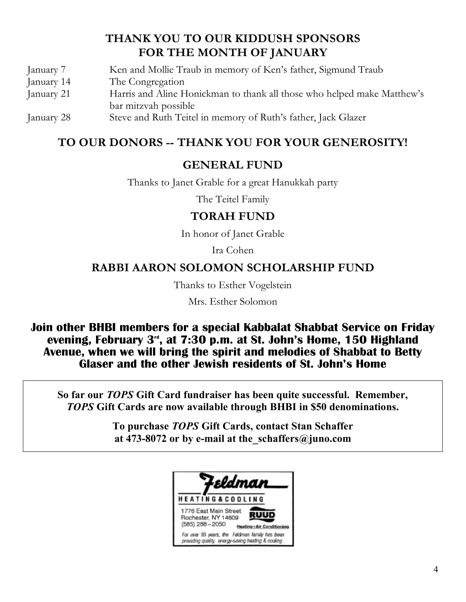## **THANK YOU TO OUR KIDDUSH SPONSORS FOR THE MONTH OF JANUARY**

| January 7  | Ken and Mollie Traub in memory of Ken's father, Sigmund Traub           |
|------------|-------------------------------------------------------------------------|
| January 14 | The Congregation                                                        |
| January 21 | Harris and Aline Honickman to thank all those who helped make Matthew's |
|            | bar mitzvah possible                                                    |
| January 28 | Steve and Ruth Teitel in memory of Ruth's father, Jack Glazer           |

## **TO OUR DONORS -- THANK YOU FOR YOUR GENEROSITY!**

#### **GENERAL FUND**

Thanks to Janet Grable for a great Hanukkah party

The Teitel Family

#### **TORAH FUND**

In honor of Janet Grable

Ira Cohen

#### **RABBI AARON SOLOMON SCHOLARSHIP FUND**

Thanks to Esther Vogelstein

Mrs. Esther Solomon

**Join other BHBI members for a special Kabbalat Shabbat Service on Friday evening, February 3rd , at 7:30 p.m. at St. John's Home, 150 Highland Avenue, when we will bring the spirit and melodies of Shabbat to Betty Glaser and the other Jewish residents of St. John's Home**

**So far our** *TOPS* **Gift Card fundraiser has been quite successful. Remember,** *TOPS* **Gift Cards are now available through BHBI in \$50 denominations.**

> **To purchase** *TOPS* **Gift Cards, contact Stan Schaffer at 473-8072 or by e-mail at the\_schaffers@juno.com**

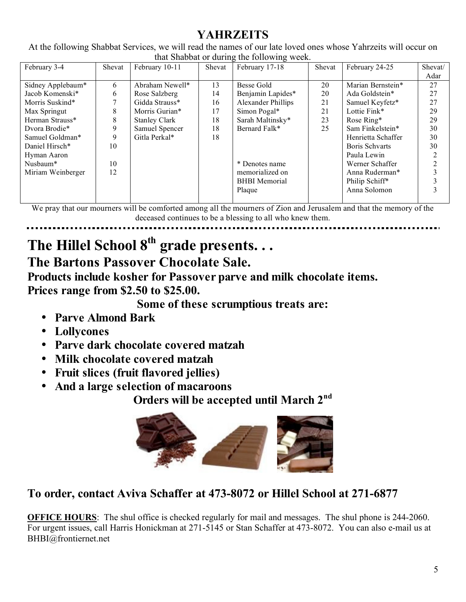# **YAHRZEITS**

At the following Shabbat Services, we will read the names of our late loved ones whose Yahrzeits will occur on that Shabbat or during the following week.

| that Shabbat of authing the following week. |        |                      |        |                           |        |                    |         |  |  |  |  |
|---------------------------------------------|--------|----------------------|--------|---------------------------|--------|--------------------|---------|--|--|--|--|
| February 3-4                                | Shevat | February 10-11       | Shevat | February 17-18            | Shevat | February 24-25     | Shevat/ |  |  |  |  |
|                                             |        |                      |        |                           |        |                    | Adar    |  |  |  |  |
| Sidney Applebaum*                           | 6      | Abraham Newell*      | 13     | Besse Gold                | 20     | Marian Bernstein*  | 27      |  |  |  |  |
| Jacob Komenski*                             | 6      | Rose Salzberg        | 14     | Benjamin Lapides*         | 20     | Ada Goldstein*     | 27      |  |  |  |  |
| Morris Suskind*                             |        | Gidda Strauss*       | 16     | <b>Alexander Phillips</b> | 21     | Samuel Keyfetz*    | 27      |  |  |  |  |
| Max Springut                                | 8      | Morris Gurian*       | 17     | Simon Pogal*              | 21     | Lottie Fink*       | 29      |  |  |  |  |
| Herman Strauss*                             | 8      | <b>Stanley Clark</b> | 18     | Sarah Maltinsky*          | 23     | Rose Ring*         | 29      |  |  |  |  |
| Dvora Brodie*                               | 9      | Samuel Spencer       | 18     | Bernard Falk*             | 25     | Sam Finkelstein*   | 30      |  |  |  |  |
| Samuel Goldman*                             | 9      | Gitla Perkal*        | 18     |                           |        | Henrietta Schaffer | 30      |  |  |  |  |
| Daniel Hirsch*                              | 10     |                      |        |                           |        | Boris Schvarts     | 30      |  |  |  |  |
| Hyman Aaron                                 |        |                      |        |                           |        | Paula Lewin        |         |  |  |  |  |
| Nusbaum*                                    | 10     |                      |        | * Denotes name            |        | Werner Schaffer    |         |  |  |  |  |
| Miriam Weinberger                           | 12     |                      |        | memorialized on           |        | Anna Ruderman*     |         |  |  |  |  |
|                                             |        |                      |        | <b>BHBI</b> Memorial      |        | Philip Schiff*     |         |  |  |  |  |
|                                             |        |                      |        | Plaque                    |        | Anna Solomon       |         |  |  |  |  |
|                                             |        |                      |        |                           |        |                    |         |  |  |  |  |

We pray that our mourners will be comforted among all the mourners of Zion and Jerusalem and that the memory of the deceased continues to be a blessing to all who knew them.

# **The Hillel School 8th grade presents. . .**

# **The Bartons Passover Chocolate Sale.**

**Products include kosher for Passover parve and milk chocolate items. Prices range from \$2.50 to \$25.00.**

**Some of these scrumptious treats are:**

- **Parve Almond Bark**
- **Lollycones**
- **Parve dark chocolate covered matzah**
- **Milk chocolate covered matzah**
- **Fruit slices (fruit flavored jellies)**
- **And a large selection of macaroons**

**Orders will be accepted until March 2nd**



# **To order, contact Aviva Schaffer at 473-8072 or Hillel School at 271-6877**

**OFFICE HOURS**: The shul office is checked regularly for mail and messages. The shul phone is 244-2060. For urgent issues, call Harris Honickman at 271-5145 or Stan Schaffer at 473-8072. You can also e-mail us at BHBI@frontiernet.net